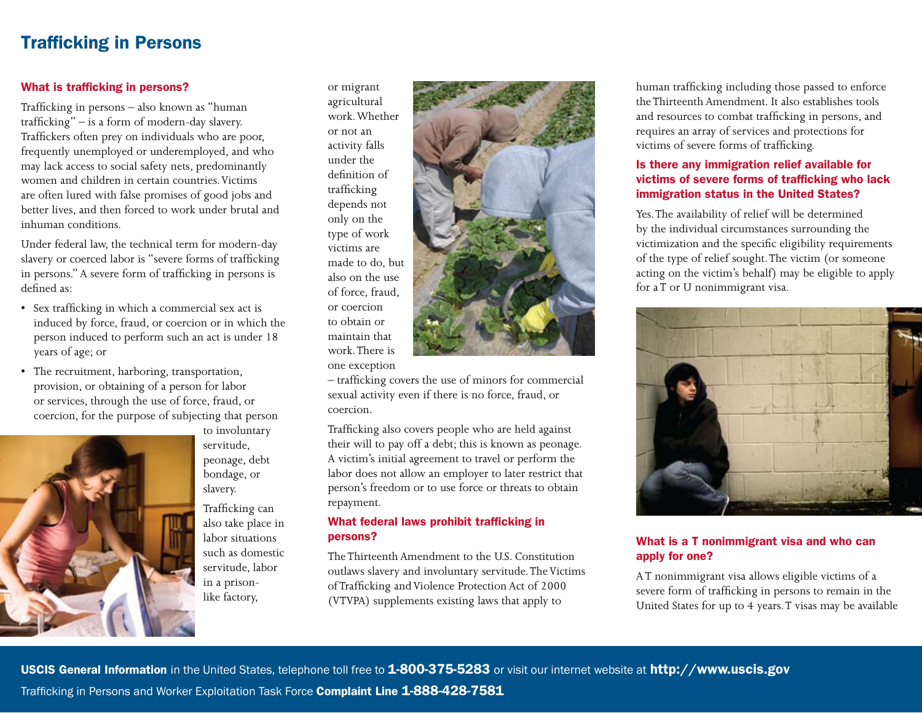# Trafficking in Persons

#### What is trafficking in persons?

Trafficking in persons – also known as "human trafficking" – is a form of modern-day slavery. Traffickers often prey on individuals who are poor, frequently unemployed or underemployed, and who may lack access to social safety nets, predominantly women and children in certain countries. Victims are often lured with false promises of good jobs and better lives, and then forced to work under brutal and inhuman conditions.

Under federal law, the technical term for modern-day slavery or coerced labor is "severe forms of trafficking in persons." A severe form of trafficking in persons is defined as:

- • Sex trafficking in which a commercial sex act is induced by force, fraud, or coercion or in which the person induced to perform such an act is under 18 years of age; or
- • The recruitment, harboring, transportation, provision, or obtaining of a person for labor or services, through the use of force, fraud, or coercion, for the purpose of subjecting that person



to involuntary servitude, peonage, debt bondage, or slavery.

Trafficking can also take place in labor situations such as domestic servitude, labor in a prisonlike factory,

or migrant agricultural work. Whether or not an activity falls under the definition of trafficking depends not only on the type of work victims are made to do, but also on the use of force, fraud, or coercion to obtain or maintain that work. There is one exception

– trafficking covers the use of minors for commercial sexual activity even if there is no force, fraud, or coercion.

Trafficking also covers people who are held against their will to pay off a debt; this is known as peonage. A victim's initial agreement to travel or perform the labor does not allow an employer to later restrict that person's freedom or to use force or threats to obtain repayment.

## What federal laws prohibit trafficking in persons?

The Thirteenth Amendment to the U.S. Constitution outlaws slavery and involuntary servitude. The Victims of Trafficking and Violence Protection Act of 2000 (VTVPA) supplements existing laws that apply to

human trafficking including those passed to enforce the Thirteenth Amendment. It also establishes tools and resources to combat trafficking in persons, and requires an array of services and protections for victims of severe forms of trafficking.

#### Is there any immigration relief available for victims of severe forms of trafficking who lack immigration status in the United States?

Yes. The availability of relief will be determined by the individual circumstances surrounding the victimization and the specific eligibility requirements of the type of relief sought. The victim (or someone acting on the victim's behalf) may be eligible to apply for a T or U nonimmigrant visa.



## What is a T nonimmigrant visa and who can apply for one?

A T nonimmigrant visa allows eligible victims of a severe form of trafficking in persons to remain in the United States for up to 4 years.T visas may be available

USCIS General Information in the United States, telephone toll free to 1-800-375-5283 or visit our internet website at http://www.uscis.gov Trafficking in Persons and Worker Exploitation Task Force Complaint Line 1-888-428-7581